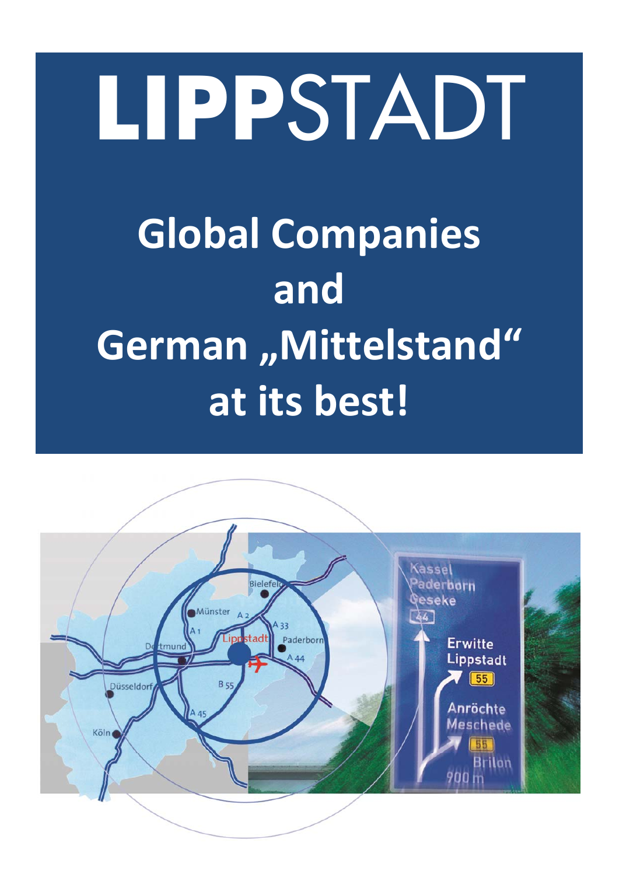# **LIPP**STADT **Global Companies and German "Mittelstand" at its best!**

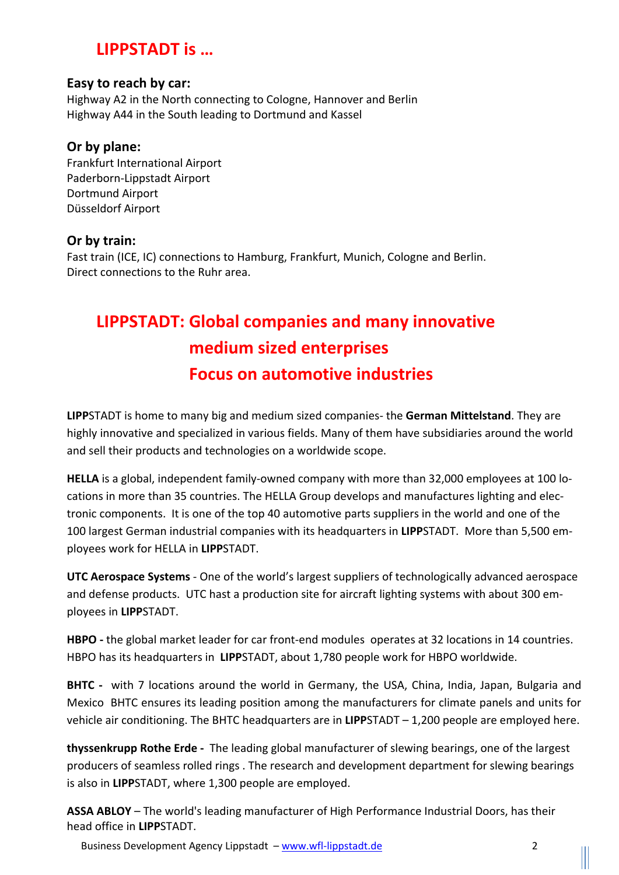## **LIPPSTADT is …**

#### **Easy to reach by car:**

Highway A2 in the North connecting to Cologne, Hannover and Berlin Highway A44 in the South leading to Dortmund and Kassel

#### **Or by plane:**

Frankfurt International Airport Paderborn‐Lippstadt Airport Dortmund Airport Düsseldorf Airport

#### **Or by train:**

Fast train (ICE, IC) connections to Hamburg, Frankfurt, Munich, Cologne and Berlin. Direct connections to the Ruhr area.

# **LIPPSTADT: Global companies and many innovative medium sized enterprises Focus on automotive industries**

**LIPP**STADT is home to many big and medium sized companies‐ the **German Mittelstand**. They are highly innovative and specialized in various fields. Many of them have subsidiaries around the world and sell their products and technologies on a worldwide scope.

**HELLA** is a global, independent family‐owned company with more than 32,000 employees at 100 lo‐ cations in more than 35 countries. The HELLA Group develops and manufactures lighting and elec‐ tronic components. It is one of the top 40 automotive parts suppliers in the world and one of the 100 largest German industrial companies with its headquarters in **LIPP**STADT. More than 5,500 em‐ ployees work for HELLA in **LIPP**STADT.

**UTC Aerospace Systems** ‐ One of the world's largest suppliers of technologically advanced aerospace and defense products. UTC hast a production site for aircraft lighting systems with about 300 employees in **LIPP**STADT.

**HBPO** - the global market leader for car front-end modules operates at 32 locations in 14 countries. HBPO has its headquarters in **LIPP**STADT, about 1,780 people work for HBPO worldwide.

**BHTC** - with 7 locations around the world in Germany, the USA, China, India, Japan, Bulgaria and Mexico BHTC ensures its leading position among the manufacturers for climate panels and units for vehicle air conditioning. The BHTC headquarters are in **LIPP**STADT – 1,200 people are employed here.

**thyssenkrupp Rothe Erde ‐**  The leading global manufacturer of slewing bearings, one of the largest producers of seamless rolled rings . The research and development department for slewing bearings is also in **LIPP**STADT, where 1,300 people are employed.

**ASSA ABLOY** – The world's leading manufacturer of High Performance Industrial Doors, has their head office in **LIPP**STADT.

Business Development Agency Lippstadt - www.wfl-lippstadt.de 2